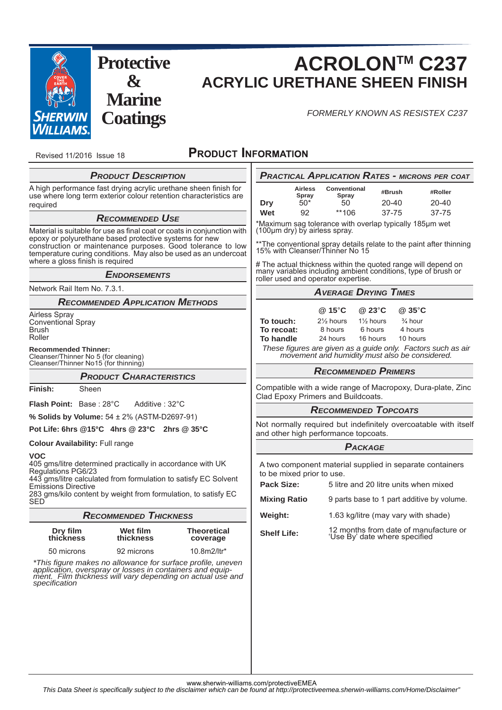

**Protective & Marine Coatings**

# **ACROLONTM C237 ACRYLIC URETHANE SHEEN FINISH**

*FORMERLY KNOWN AS RESISTEX C237*

Revised 11/2016 Issue 18

# **PRODUCT INFORMATION**

| <b>PRODUCT DESCRIPTION</b>                                                                                                                                                                              |                                        |                                |                                                                                                                                                                       |                  |                                     |                                                                                     | <b>PRACTICAL APPLICATION RATES - MICRONS PER COAT</b> |
|---------------------------------------------------------------------------------------------------------------------------------------------------------------------------------------------------------|----------------------------------------|--------------------------------|-----------------------------------------------------------------------------------------------------------------------------------------------------------------------|------------------|-------------------------------------|-------------------------------------------------------------------------------------|-------------------------------------------------------|
| A high performance fast drying acrylic urethane sheen finish for<br>use where long term exterior colour retention characteristics are                                                                   |                                        |                                |                                                                                                                                                                       | Airless<br>Spray | Conventional<br>Spray               | #Brush                                                                              | #Roller                                               |
| required                                                                                                                                                                                                |                                        |                                | <b>Dry</b>                                                                                                                                                            | $50*$            | 50                                  | 20-40                                                                               | 20-40                                                 |
|                                                                                                                                                                                                         | <b>RECOMMENDED USE</b>                 |                                | Wet                                                                                                                                                                   | 92               | **106                               | $37 - 75$                                                                           | $37 - 75$                                             |
| Material is suitable for use as final coat or coats in conjunction with<br>epoxy or polyurethane based protective systems for new                                                                       |                                        |                                | *Maximum sag tolerance with overlap typically 185µm wet<br>(100µm dry) by airless spray.                                                                              |                  |                                     |                                                                                     |                                                       |
| construction or maintenance purposes. Good tolerance to low<br>temperature curing conditions. May also be used as an undercoat<br>where a gloss finish is required                                      |                                        |                                | **The conventional spray details relate to the paint after thinning<br>15% with Cleanser/Thinner No 15                                                                |                  |                                     |                                                                                     |                                                       |
| <b>ENDORSEMENTS</b>                                                                                                                                                                                     |                                        |                                | # The actual thickness within the quoted range will depend on<br>many variables including ambient conditions, type of brush or<br>roller used and operator expertise. |                  |                                     |                                                                                     |                                                       |
| Network Rail Item No. 7.3.1.                                                                                                                                                                            |                                        |                                | <b>AVERAGE DRYING TIMES</b>                                                                                                                                           |                  |                                     |                                                                                     |                                                       |
|                                                                                                                                                                                                         | <b>RECOMMENDED APPLICATION METHODS</b> |                                |                                                                                                                                                                       |                  |                                     |                                                                                     |                                                       |
| Airless Spray                                                                                                                                                                                           |                                        |                                | To touch:                                                                                                                                                             |                  | @ 15°C<br>21/ <sub>2</sub> hours    | $@23^\circ \text{C}$<br>$@35^\circ C$<br>$\frac{3}{4}$ hour<br>$1\frac{1}{2}$ hours |                                                       |
| <b>Conventional Spray</b><br>Brush                                                                                                                                                                      |                                        |                                | To recoat:                                                                                                                                                            |                  | 8 hours                             | 6 hours<br>4 hours                                                                  |                                                       |
| Roller                                                                                                                                                                                                  |                                        |                                | To handle                                                                                                                                                             |                  | 24 hours                            | 16 hours<br>10 hours                                                                |                                                       |
| <b>Recommended Thinner:</b><br>Cleanser/Thinner No 5 (for cleaning)<br>Cleanser/Thinner No15 (for thinning)                                                                                             |                                        |                                | These figures are given as a guide only. Factors such as air<br>movement and humidity must also be considered.                                                        |                  |                                     |                                                                                     |                                                       |
| <b>PRODUCT CHARACTERISTICS</b>                                                                                                                                                                          |                                        |                                | <b>RECOMMENDED PRIMERS</b>                                                                                                                                            |                  |                                     |                                                                                     |                                                       |
| Finish:<br>Sheen                                                                                                                                                                                        |                                        |                                | Compatible with a wide range of Macropoxy, Dura-plate, Zinc<br>Clad Epoxy Primers and Buildcoats.                                                                     |                  |                                     |                                                                                     |                                                       |
| Flash Point: Base: 28°C<br>Additive: 32°C                                                                                                                                                               |                                        |                                | <b>RECOMMENDED TOPCOATS</b>                                                                                                                                           |                  |                                     |                                                                                     |                                                       |
| % Solids by Volume: 54 ± 2% (ASTM-D2697-91)                                                                                                                                                             |                                        |                                |                                                                                                                                                                       |                  |                                     |                                                                                     |                                                       |
| Pot Life: 6hrs @15°C 4hrs @ 23°C 2hrs @ 35°C                                                                                                                                                            |                                        |                                | Not normally required but indefinitely overcoatable with itself<br>and other high performance topcoats.                                                               |                  |                                     |                                                                                     |                                                       |
| <b>Colour Availability: Full range</b>                                                                                                                                                                  |                                        |                                | <b>PACKAGE</b>                                                                                                                                                        |                  |                                     |                                                                                     |                                                       |
| <b>VOC</b><br>405 gms/litre determined practically in accordance with UK<br>Regulations PG6/23<br>443 gms/litre calculated from formulation to satisfy EC Solvent<br><b>Emissions Directive</b>         |                                        |                                | A two component material supplied in separate containers<br>to be mixed prior to use.<br>Pack Size:<br>5 litre and 20 litre units when mixed                          |                  |                                     |                                                                                     |                                                       |
| 283 gms/kilo content by weight from formulation, to satisfy EC<br><b>SED</b>                                                                                                                            |                                        |                                | <b>Mixing Ratio</b>                                                                                                                                                   |                  |                                     |                                                                                     | 9 parts base to 1 part additive by volume.            |
| <b>RECOMMENDED THICKNESS</b>                                                                                                                                                                            |                                        |                                | Weight:                                                                                                                                                               |                  | 1.63 kg/litre (may vary with shade) |                                                                                     |                                                       |
| Dry film<br>thickness                                                                                                                                                                                   | Wet film<br>thickness                  | <b>Theoretical</b><br>coverage | <b>Shelf Life:</b>                                                                                                                                                    |                  |                                     | 'Use By' date where specified                                                       | 12 months from date of manufacture or                 |
| 50 microns                                                                                                                                                                                              | 92 microns                             | 10.8 $m2$ /ltr*                |                                                                                                                                                                       |                  |                                     |                                                                                     |                                                       |
| *This figure makes no allowance for surface profile, uneven<br>application, overspray or losses in containers and equip-<br>ment. Film thickness will vary depending on actual use and<br>specification |                                        |                                |                                                                                                                                                                       |                  |                                     |                                                                                     |                                                       |
|                                                                                                                                                                                                         |                                        |                                |                                                                                                                                                                       |                  |                                     |                                                                                     |                                                       |

www.sherwin-williams.com/protectiveEMEA

*This Data Sheet is specifi cally subject to the disclaimer which can be found at http://protectiveemea.sherwin-williams.com/Home/Disclaimer"*